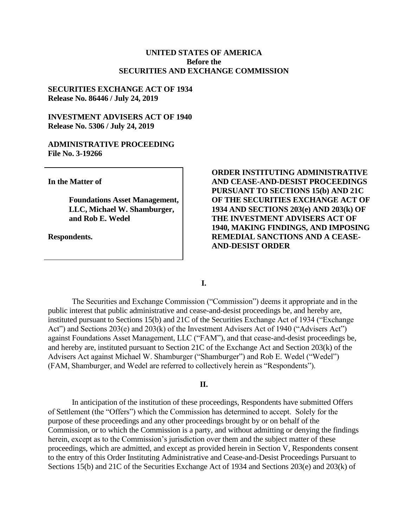# **UNITED STATES OF AMERICA Before the SECURITIES AND EXCHANGE COMMISSION**

### **SECURITIES EXCHANGE ACT OF 1934 Release No. 86446 / July 24, 2019**

# **INVESTMENT ADVISERS ACT OF 1940 Release No. 5306 / July 24, 2019**

### **ADMINISTRATIVE PROCEEDING File No. 3-19266**

**In the Matter of**

**Foundations Asset Management, LLC, Michael W. Shamburger, and Rob E. Wedel**

**Respondents.**

**ORDER INSTITUTING ADMINISTRATIVE AND CEASE-AND-DESIST PROCEEDINGS PURSUANT TO SECTIONS 15(b) AND 21C OF THE SECURITIES EXCHANGE ACT OF 1934 AND SECTIONS 203(e) AND 203(k) OF THE INVESTMENT ADVISERS ACT OF 1940, MAKING FINDINGS, AND IMPOSING REMEDIAL SANCTIONS AND A CEASE-AND-DESIST ORDER**

**I.**

The Securities and Exchange Commission ("Commission") deems it appropriate and in the public interest that public administrative and cease-and-desist proceedings be, and hereby are, instituted pursuant to Sections 15(b) and 21C of the Securities Exchange Act of 1934 ("Exchange Act") and Sections 203(e) and 203(k) of the Investment Advisers Act of 1940 ("Advisers Act") against Foundations Asset Management, LLC ("FAM"), and that cease-and-desist proceedings be, and hereby are, instituted pursuant to Section 21C of the Exchange Act and Section 203(k) of the Advisers Act against Michael W. Shamburger ("Shamburger") and Rob E. Wedel ("Wedel") (FAM, Shamburger, and Wedel are referred to collectively herein as "Respondents").

### **II.**

In anticipation of the institution of these proceedings, Respondents have submitted Offers of Settlement (the "Offers") which the Commission has determined to accept. Solely for the purpose of these proceedings and any other proceedings brought by or on behalf of the Commission, or to which the Commission is a party, and without admitting or denying the findings herein, except as to the Commission's jurisdiction over them and the subject matter of these proceedings, which are admitted, and except as provided herein in Section V, Respondents consent to the entry of this Order Instituting Administrative and Cease-and-Desist Proceedings Pursuant to Sections 15(b) and 21C of the Securities Exchange Act of 1934 and Sections 203(e) and 203(k) of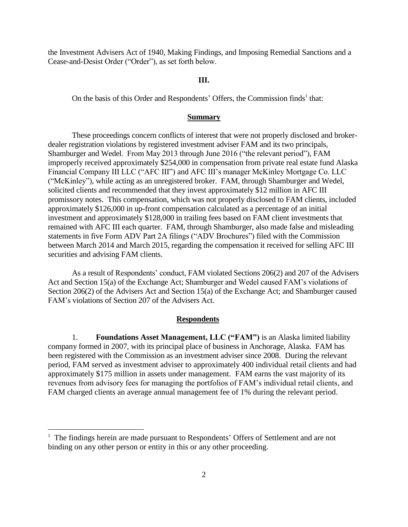the Investment Advisers Act of 1940, Making Findings, and Imposing Remedial Sanctions and a Cease-and-Desist Order ("Order"), as set forth below.

### **III.**

On the basis of this Order and Respondents' Offers, the Commission finds<sup>1</sup> that:

#### **Summary**

These proceedings concern conflicts of interest that were not properly disclosed and brokerdealer registration violations by registered investment adviser FAM and its two principals, Shamburger and Wedel. From May 2013 through June 2016 ("the relevant period"), FAM improperly received approximately \$254,000 in compensation from private real estate fund Alaska Financial Company III LLC ("AFC III") and AFC III's manager McKinley Mortgage Co. LLC ("McKinley"), while acting as an unregistered broker. FAM, through Shamburger and Wedel, solicited clients and recommended that they invest approximately \$12 million in AFC III promissory notes. This compensation, which was not properly disclosed to FAM clients, included approximately \$126,000 in up-front compensation calculated as a percentage of an initial investment and approximately \$128,000 in trailing fees based on FAM client investments that remained with AFC III each quarter. FAM, through Shamburger, also made false and misleading statements in five Form ADV Part 2A filings ("ADV Brochures") filed with the Commission between March 2014 and March 2015, regarding the compensation it received for selling AFC III securities and advising FAM clients.

As a result of Respondents' conduct, FAM violated Sections 206(2) and 207 of the Advisers Act and Section 15(a) of the Exchange Act; Shamburger and Wedel caused FAM's violations of Section 206(2) of the Advisers Act and Section 15(a) of the Exchange Act; and Shamburger caused FAM's violations of Section 207 of the Advisers Act.

#### **Respondents**

1. **Foundations Asset Management, LLC ("FAM")** is an Alaska limited liability company formed in 2007, with its principal place of business in Anchorage, Alaska. FAM has been registered with the Commission as an investment adviser since 2008. During the relevant period, FAM served as investment adviser to approximately 400 individual retail clients and had approximately \$175 million in assets under management. FAM earns the vast majority of its revenues from advisory fees for managing the portfolios of FAM's individual retail clients, and FAM charged clients an average annual management fee of 1% during the relevant period.

 $\overline{a}$ 

<sup>&</sup>lt;sup>1</sup> The findings herein are made pursuant to Respondents' Offers of Settlement and are not binding on any other person or entity in this or any other proceeding.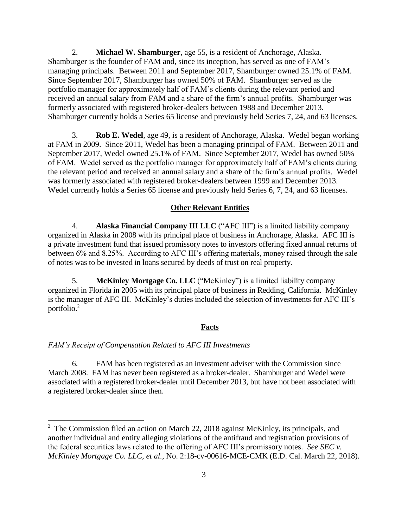2. **Michael W. Shamburger**, age 55, is a resident of Anchorage, Alaska. Shamburger is the founder of FAM and, since its inception, has served as one of FAM's managing principals. Between 2011 and September 2017, Shamburger owned 25.1% of FAM. Since September 2017, Shamburger has owned 50% of FAM. Shamburger served as the portfolio manager for approximately half of FAM's clients during the relevant period and received an annual salary from FAM and a share of the firm's annual profits. Shamburger was formerly associated with registered broker-dealers between 1988 and December 2013. Shamburger currently holds a Series 65 license and previously held Series 7, 24, and 63 licenses.

3. **Rob E. Wedel**, age 49, is a resident of Anchorage, Alaska. Wedel began working at FAM in 2009. Since 2011, Wedel has been a managing principal of FAM. Between 2011 and September 2017, Wedel owned 25.1% of FAM. Since September 2017, Wedel has owned 50% of FAM. Wedel served as the portfolio manager for approximately half of FAM's clients during the relevant period and received an annual salary and a share of the firm's annual profits. Wedel was formerly associated with registered broker-dealers between 1999 and December 2013. Wedel currently holds a Series 65 license and previously held Series 6, 7, 24, and 63 licenses.

### **Other Relevant Entities**

4. **Alaska Financial Company III LLC** ("AFC III") is a limited liability company organized in Alaska in 2008 with its principal place of business in Anchorage, Alaska. AFC III is a private investment fund that issued promissory notes to investors offering fixed annual returns of between 6% and 8.25%. According to AFC III's offering materials, money raised through the sale of notes was to be invested in loans secured by deeds of trust on real property.

5. **McKinley Mortgage Co. LLC** ("McKinley") is a limited liability company organized in Florida in 2005 with its principal place of business in Redding, California. McKinley is the manager of AFC III. McKinley's duties included the selection of investments for AFC III's portfolio. 2

### **Facts**

#### *FAM's Receipt of Compensation Related to AFC III Investments*

 $\overline{a}$ 

6. FAM has been registered as an investment adviser with the Commission since March 2008. FAM has never been registered as a broker-dealer. Shamburger and Wedel were associated with a registered broker-dealer until December 2013, but have not been associated with a registered broker-dealer since then.

 $2^{\circ}$  The Commission filed an action on March 22, 2018 against McKinley, its principals, and another individual and entity alleging violations of the antifraud and registration provisions of the federal securities laws related to the offering of AFC III's promissory notes. *See SEC v. McKinley Mortgage Co. LLC, et al.*, No. 2:18-cv-00616-MCE-CMK (E.D. Cal. March 22, 2018).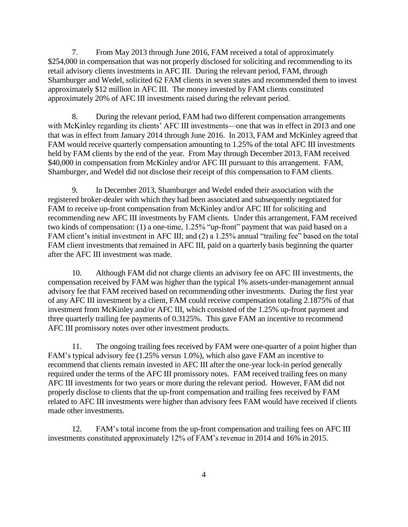7. From May 2013 through June 2016, FAM received a total of approximately \$254,000 in compensation that was not properly disclosed for soliciting and recommending to its retail advisory clients investments in AFC III. During the relevant period, FAM, through Shamburger and Wedel, solicited 62 FAM clients in seven states and recommended them to invest approximately \$12 million in AFC III. The money invested by FAM clients constituted approximately 20% of AFC III investments raised during the relevant period.

8. During the relevant period, FAM had two different compensation arrangements with McKinley regarding its clients' AFC III investments—one that was in effect in 2013 and one that was in effect from January 2014 through June 2016. In 2013, FAM and McKinley agreed that FAM would receive quarterly compensation amounting to 1.25% of the total AFC III investments held by FAM clients by the end of the year. From May through December 2013, FAM received \$40,000 in compensation from McKinley and/or AFC III pursuant to this arrangement. FAM, Shamburger, and Wedel did not disclose their receipt of this compensation to FAM clients.

9. In December 2013, Shamburger and Wedel ended their association with the registered broker-dealer with which they had been associated and subsequently negotiated for FAM to receive up-front compensation from McKinley and/or AFC III for soliciting and recommending new AFC III investments by FAM clients. Under this arrangement, FAM received two kinds of compensation: (1) a one-time, 1.25% "up-front" payment that was paid based on a FAM client's initial investment in AFC III; and (2) a 1.25% annual "trailing fee" based on the total FAM client investments that remained in AFC III, paid on a quarterly basis beginning the quarter after the AFC III investment was made.

10. Although FAM did not charge clients an advisory fee on AFC III investments, the compensation received by FAM was higher than the typical 1% assets-under-management annual advisory fee that FAM received based on recommending other investments. During the first year of any AFC III investment by a client, FAM could receive compensation totaling 2.1875% of that investment from McKinley and/or AFC III, which consisted of the 1.25% up-front payment and three quarterly trailing fee payments of 0.3125%. This gave FAM an incentive to recommend AFC III promissory notes over other investment products.

11. The ongoing trailing fees received by FAM were one-quarter of a point higher than FAM's typical advisory fee (1.25% versus 1.0%), which also gave FAM an incentive to recommend that clients remain invested in AFC III after the one-year lock-in period generally required under the terms of the AFC III promissory notes. FAM received trailing fees on many AFC III investments for two years or more during the relevant period. However, FAM did not properly disclose to clients that the up-front compensation and trailing fees received by FAM related to AFC III investments were higher than advisory fees FAM would have received if clients made other investments.

12. FAM's total income from the up-front compensation and trailing fees on AFC III investments constituted approximately 12% of FAM's revenue in 2014 and 16% in 2015.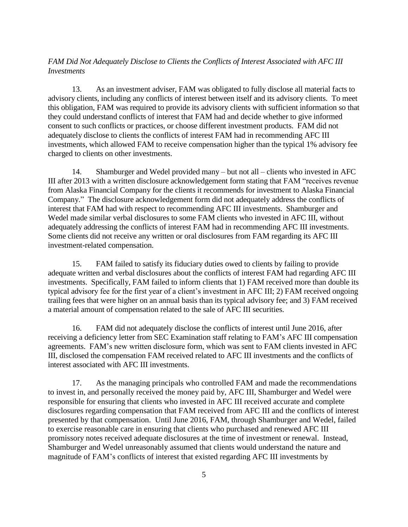# *FAM Did Not Adequately Disclose to Clients the Conflicts of Interest Associated with AFC III Investments*

13. As an investment adviser, FAM was obligated to fully disclose all material facts to advisory clients, including any conflicts of interest between itself and its advisory clients. To meet this obligation, FAM was required to provide its advisory clients with sufficient information so that they could understand conflicts of interest that FAM had and decide whether to give informed consent to such conflicts or practices, or choose different investment products. FAM did not adequately disclose to clients the conflicts of interest FAM had in recommending AFC III investments, which allowed FAM to receive compensation higher than the typical 1% advisory fee charged to clients on other investments.

14. Shamburger and Wedel provided many – but not all – clients who invested in AFC III after 2013 with a written disclosure acknowledgement form stating that FAM "receives revenue from Alaska Financial Company for the clients it recommends for investment to Alaska Financial Company." The disclosure acknowledgement form did not adequately address the conflicts of interest that FAM had with respect to recommending AFC III investments. Shamburger and Wedel made similar verbal disclosures to some FAM clients who invested in AFC III, without adequately addressing the conflicts of interest FAM had in recommending AFC III investments. Some clients did not receive any written or oral disclosures from FAM regarding its AFC III investment-related compensation.

15. FAM failed to satisfy its fiduciary duties owed to clients by failing to provide adequate written and verbal disclosures about the conflicts of interest FAM had regarding AFC III investments. Specifically, FAM failed to inform clients that 1) FAM received more than double its typical advisory fee for the first year of a client's investment in AFC III; 2) FAM received ongoing trailing fees that were higher on an annual basis than its typical advisory fee; and 3) FAM received a material amount of compensation related to the sale of AFC III securities.

16. FAM did not adequately disclose the conflicts of interest until June 2016, after receiving a deficiency letter from SEC Examination staff relating to FAM's AFC III compensation agreements. FAM's new written disclosure form, which was sent to FAM clients invested in AFC III, disclosed the compensation FAM received related to AFC III investments and the conflicts of interest associated with AFC III investments.

17. As the managing principals who controlled FAM and made the recommendations to invest in, and personally received the money paid by, AFC III, Shamburger and Wedel were responsible for ensuring that clients who invested in AFC III received accurate and complete disclosures regarding compensation that FAM received from AFC III and the conflicts of interest presented by that compensation. Until June 2016, FAM, through Shamburger and Wedel, failed to exercise reasonable care in ensuring that clients who purchased and renewed AFC III promissory notes received adequate disclosures at the time of investment or renewal. Instead, Shamburger and Wedel unreasonably assumed that clients would understand the nature and magnitude of FAM's conflicts of interest that existed regarding AFC III investments by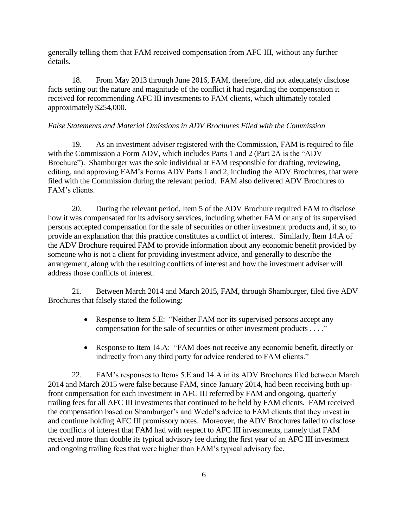generally telling them that FAM received compensation from AFC III, without any further details.

18. From May 2013 through June 2016, FAM, therefore, did not adequately disclose facts setting out the nature and magnitude of the conflict it had regarding the compensation it received for recommending AFC III investments to FAM clients, which ultimately totaled approximately \$254,000.

### *False Statements and Material Omissions in ADV Brochures Filed with the Commission*

19. As an investment adviser registered with the Commission, FAM is required to file with the Commission a Form ADV, which includes Parts 1 and 2 (Part 2A is the "ADV Brochure"). Shamburger was the sole individual at FAM responsible for drafting, reviewing, editing, and approving FAM's Forms ADV Parts 1 and 2, including the ADV Brochures, that were filed with the Commission during the relevant period. FAM also delivered ADV Brochures to FAM's clients.

20. During the relevant period, Item 5 of the ADV Brochure required FAM to disclose how it was compensated for its advisory services, including whether FAM or any of its supervised persons accepted compensation for the sale of securities or other investment products and, if so, to provide an explanation that this practice constitutes a conflict of interest. Similarly, Item 14.A of the ADV Brochure required FAM to provide information about any economic benefit provided by someone who is not a client for providing investment advice, and generally to describe the arrangement, along with the resulting conflicts of interest and how the investment adviser will address those conflicts of interest.

21. Between March 2014 and March 2015, FAM, through Shamburger, filed five ADV Brochures that falsely stated the following:

- Response to Item 5.E: "Neither FAM nor its supervised persons accept any compensation for the sale of securities or other investment products . . . ."
- Response to Item 14.A: "FAM does not receive any economic benefit, directly or indirectly from any third party for advice rendered to FAM clients."

22. FAM's responses to Items 5.E and 14.A in its ADV Brochures filed between March 2014 and March 2015 were false because FAM, since January 2014, had been receiving both upfront compensation for each investment in AFC III referred by FAM and ongoing, quarterly trailing fees for all AFC III investments that continued to be held by FAM clients. FAM received the compensation based on Shamburger's and Wedel's advice to FAM clients that they invest in and continue holding AFC III promissory notes. Moreover, the ADV Brochures failed to disclose the conflicts of interest that FAM had with respect to AFC III investments, namely that FAM received more than double its typical advisory fee during the first year of an AFC III investment and ongoing trailing fees that were higher than FAM's typical advisory fee.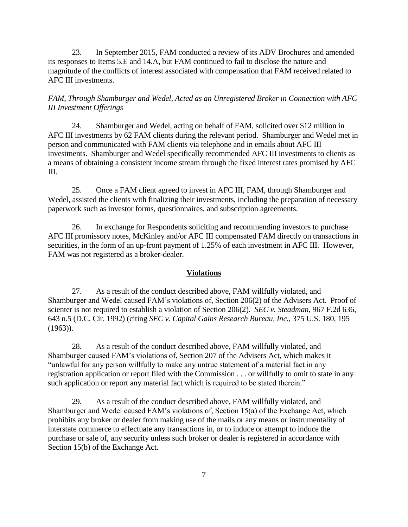23. In September 2015, FAM conducted a review of its ADV Brochures and amended its responses to Items 5.E and 14.A, but FAM continued to fail to disclose the nature and magnitude of the conflicts of interest associated with compensation that FAM received related to AFC III investments.

*FAM, Through Shamburger and Wedel, Acted as an Unregistered Broker in Connection with AFC III Investment Offerings*

24. Shamburger and Wedel, acting on behalf of FAM, solicited over \$12 million in AFC III investments by 62 FAM clients during the relevant period. Shamburger and Wedel met in person and communicated with FAM clients via telephone and in emails about AFC III investments. Shamburger and Wedel specifically recommended AFC III investments to clients as a means of obtaining a consistent income stream through the fixed interest rates promised by AFC III.

25. Once a FAM client agreed to invest in AFC III, FAM, through Shamburger and Wedel, assisted the clients with finalizing their investments, including the preparation of necessary paperwork such as investor forms, questionnaires, and subscription agreements.

26. In exchange for Respondents soliciting and recommending investors to purchase AFC III promissory notes, McKinley and/or AFC III compensated FAM directly on transactions in securities, in the form of an up-front payment of 1.25% of each investment in AFC III. However, FAM was not registered as a broker-dealer.

### **Violations**

27. As a result of the conduct described above, FAM willfully violated, and Shamburger and Wedel caused FAM's violations of, Section 206(2) of the Advisers Act. Proof of scienter is not required to establish a violation of Section 206(2). *SEC v. Steadman*, 967 F.2d 636, 643 n.5 (D.C. Cir. 1992) (citing *SEC v. Capital Gains Research Bureau, Inc.*, 375 U.S. 180, 195  $(1963)$ ).

28. As a result of the conduct described above, FAM willfully violated, and Shamburger caused FAM's violations of, Section 207 of the Advisers Act, which makes it "unlawful for any person willfully to make any untrue statement of a material fact in any registration application or report filed with the Commission . . . or willfully to omit to state in any such application or report any material fact which is required to be stated therein."

29. As a result of the conduct described above, FAM willfully violated, and Shamburger and Wedel caused FAM's violations of, Section 15(a) of the Exchange Act, which prohibits any broker or dealer from making use of the mails or any means or instrumentality of interstate commerce to effectuate any transactions in, or to induce or attempt to induce the purchase or sale of, any security unless such broker or dealer is registered in accordance with Section 15(b) of the Exchange Act.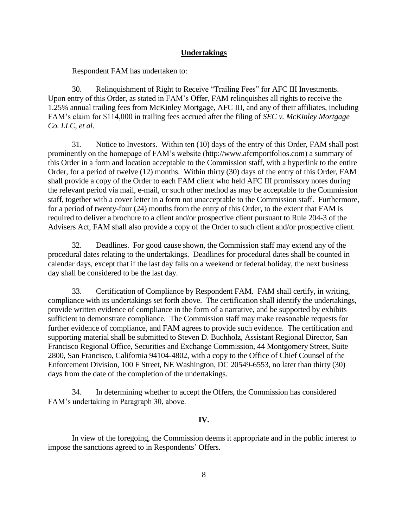### **Undertakings**

Respondent FAM has undertaken to:

30. Relinquishment of Right to Receive "Trailing Fees" for AFC III Investments. Upon entry of this Order, as stated in FAM's Offer, FAM relinquishes all rights to receive the 1.25% annual trailing fees from McKinley Mortgage, AFC III, and any of their affiliates, including FAM's claim for \$114,000 in trailing fees accrued after the filing of *SEC v. McKinley Mortgage Co. LLC, et al*.

31. Notice to Investors. Within ten (10) days of the entry of this Order, FAM shall post prominently on the homepage of FAM's website [\(http://www.afcmportfolios.com\)](http://www.afcmportfolios.com/) a summary of this Order in a form and location acceptable to the Commission staff, with a hyperlink to the entire Order, for a period of twelve (12) months. Within thirty (30) days of the entry of this Order, FAM shall provide a copy of the Order to each FAM client who held AFC III promissory notes during the relevant period via mail, e-mail, or such other method as may be acceptable to the Commission staff, together with a cover letter in a form not unacceptable to the Commission staff. Furthermore, for a period of twenty-four (24) months from the entry of this Order, to the extent that FAM is required to deliver a brochure to a client and/or prospective client pursuant to Rule 204-3 of the Advisers Act, FAM shall also provide a copy of the Order to such client and/or prospective client.

32. Deadlines. For good cause shown, the Commission staff may extend any of the procedural dates relating to the undertakings. Deadlines for procedural dates shall be counted in calendar days, except that if the last day falls on a weekend or federal holiday, the next business day shall be considered to be the last day.

33. Certification of Compliance by Respondent FAM. FAM shall certify, in writing, compliance with its undertakings set forth above. The certification shall identify the undertakings, provide written evidence of compliance in the form of a narrative, and be supported by exhibits sufficient to demonstrate compliance. The Commission staff may make reasonable requests for further evidence of compliance, and FAM agrees to provide such evidence. The certification and supporting material shall be submitted to Steven D. Buchholz, Assistant Regional Director, San Francisco Regional Office, Securities and Exchange Commission, 44 Montgomery Street, Suite 2800, San Francisco, California 94104-4802, with a copy to the Office of Chief Counsel of the Enforcement Division, 100 F Street, NE Washington, DC 20549-6553, no later than thirty (30) days from the date of the completion of the undertakings.

34. In determining whether to accept the Offers, the Commission has considered FAM's undertaking in Paragraph 30, above.

#### **IV.**

In view of the foregoing, the Commission deems it appropriate and in the public interest to impose the sanctions agreed to in Respondents' Offers.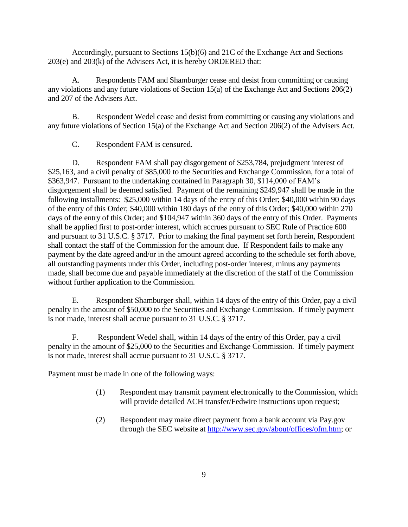Accordingly, pursuant to Sections 15(b)(6) and 21C of the Exchange Act and Sections 203(e) and 203(k) of the Advisers Act, it is hereby ORDERED that:

A. Respondents FAM and Shamburger cease and desist from committing or causing any violations and any future violations of Section 15(a) of the Exchange Act and Sections 206(2) and 207 of the Advisers Act.

B. Respondent Wedel cease and desist from committing or causing any violations and any future violations of Section 15(a) of the Exchange Act and Section 206(2) of the Advisers Act.

C. Respondent FAM is censured.

D. Respondent FAM shall pay disgorgement of \$253,784, prejudgment interest of \$25,163, and a civil penalty of \$85,000 to the Securities and Exchange Commission, for a total of \$363,947. Pursuant to the undertaking contained in Paragraph 30, \$114,000 of FAM's disgorgement shall be deemed satisfied. Payment of the remaining \$249,947 shall be made in the following installments: \$25,000 within 14 days of the entry of this Order; \$40,000 within 90 days of the entry of this Order; \$40,000 within 180 days of the entry of this Order; \$40,000 within 270 days of the entry of this Order; and \$104,947 within 360 days of the entry of this Order. Payments shall be applied first to post-order interest, which accrues pursuant to SEC Rule of Practice 600 and pursuant to 31 U.S.C. § 3717. Prior to making the final payment set forth herein, Respondent shall contact the staff of the Commission for the amount due. If Respondent fails to make any payment by the date agreed and/or in the amount agreed according to the schedule set forth above, all outstanding payments under this Order, including post-order interest, minus any payments made, shall become due and payable immediately at the discretion of the staff of the Commission without further application to the Commission.

E. Respondent Shamburger shall, within 14 days of the entry of this Order, pay a civil penalty in the amount of \$50,000 to the Securities and Exchange Commission. If timely payment is not made, interest shall accrue pursuant to 31 U.S.C. § 3717.

F. Respondent Wedel shall, within 14 days of the entry of this Order, pay a civil penalty in the amount of \$25,000 to the Securities and Exchange Commission. If timely payment is not made, interest shall accrue pursuant to 31 U.S.C. § 3717.

Payment must be made in one of the following ways:

- (1) Respondent may transmit payment electronically to the Commission, which will provide detailed ACH transfer/Fedwire instructions upon request;
- (2) Respondent may make direct payment from a bank account via Pay.gov through the SEC website at [http://www.sec.gov/about/offices/ofm.htm;](http://www.sec.gov/about/offices/ofm.htm) or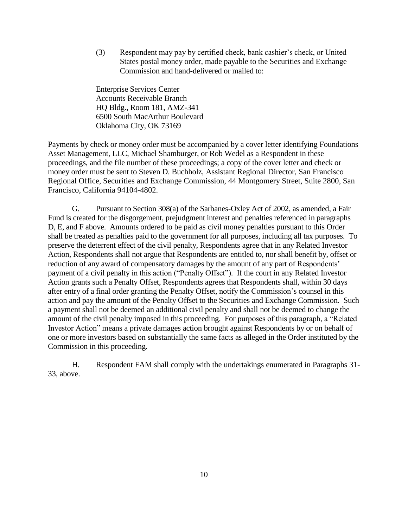(3) Respondent may pay by certified check, bank cashier's check, or United States postal money order, made payable to the Securities and Exchange Commission and hand-delivered or mailed to:

Enterprise Services Center Accounts Receivable Branch HQ Bldg., Room 181, AMZ-341 6500 South MacArthur Boulevard Oklahoma City, OK 73169

Payments by check or money order must be accompanied by a cover letter identifying Foundations Asset Management, LLC, Michael Shamburger, or Rob Wedel as a Respondent in these proceedings, and the file number of these proceedings; a copy of the cover letter and check or money order must be sent to Steven D. Buchholz, Assistant Regional Director, San Francisco Regional Office, Securities and Exchange Commission, 44 Montgomery Street, Suite 2800, San Francisco, California 94104-4802.

G. Pursuant to Section 308(a) of the Sarbanes-Oxley Act of 2002, as amended, a Fair Fund is created for the disgorgement, prejudgment interest and penalties referenced in paragraphs D, E, and F above. Amounts ordered to be paid as civil money penalties pursuant to this Order shall be treated as penalties paid to the government for all purposes, including all tax purposes. To preserve the deterrent effect of the civil penalty, Respondents agree that in any Related Investor Action, Respondents shall not argue that Respondents are entitled to, nor shall benefit by, offset or reduction of any award of compensatory damages by the amount of any part of Respondents' payment of a civil penalty in this action ("Penalty Offset"). If the court in any Related Investor Action grants such a Penalty Offset, Respondents agrees that Respondents shall, within 30 days after entry of a final order granting the Penalty Offset, notify the Commission's counsel in this action and pay the amount of the Penalty Offset to the Securities and Exchange Commission. Such a payment shall not be deemed an additional civil penalty and shall not be deemed to change the amount of the civil penalty imposed in this proceeding. For purposes of this paragraph, a "Related Investor Action" means a private damages action brought against Respondents by or on behalf of one or more investors based on substantially the same facts as alleged in the Order instituted by the Commission in this proceeding.

H. Respondent FAM shall comply with the undertakings enumerated in Paragraphs 31- 33, above.